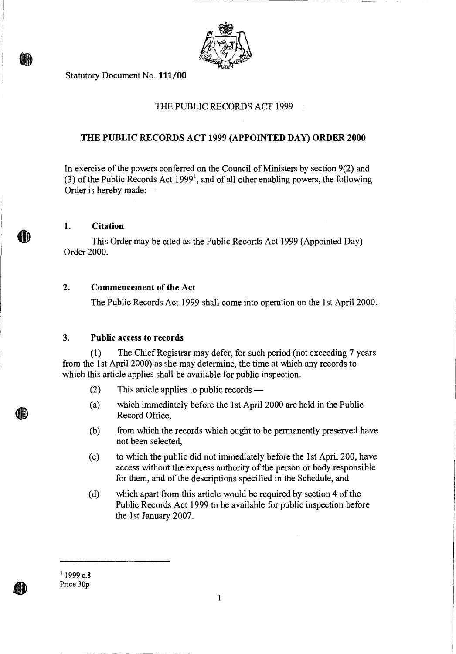

Statutory Document No. 111/00

## THE PUBLIC RECORDS ACT 1999

## **THE PUBLIC RECORDS ACT 1999 (APPOINTED DAY) ORDER 2000**

In exercise of the powers conferred on the Council of Ministers by section 9(2) and (3) of the Public Records Act  $1999<sup>1</sup>$ , and of all other enabling powers, the following Order is hereby made:—

#### **1. Citation**

**M** 

This Order may be cited as the Public Records Act 1999 (Appointed Day) Order 2000.

### **2. Commencement of the Act**

The Public Records Act 1999 shall come into operation on the 1st April 2000.

#### **3. Public access to records**

(1) The Chief Registrar may defer, for such period (not exceeding 7 years from the 1st April 2000) as she may determine, the time at which any records to which this article applies shall be available for public inspection.

- (2) This article applies to public records —
- (a) which immediately before the 1st April 2000 are held in the Public Record Office,
- (b) from which the records which ought to be permanently preserved have not been selected,
- (c) to which the public did not immediately before the 1st April 200, have access without the express authority of the person or body responsible for them, and of the descriptions specified in the Schedule, and
- (d) which apart from this article would be required by section 4 of the Public Records Act 1999 to be available for public inspection before the 1st January 2007.

 $1$  1999 c.8 Price 30p

 $\mathbf{1}$